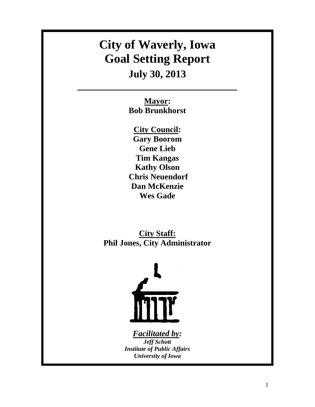# **City of Waverly, Iowa Goal Setting Report**

# **July 30, 2013**

**\_\_\_\_\_\_\_\_\_\_\_\_\_\_\_\_\_\_\_\_\_\_\_\_\_\_\_\_\_\_\_** 

**Mayor: Bob Brunkhorst** 

**City Council: Gary Boorom Gene Lieb Tim Kangas Kathy Olson Chris Neuendorf Dan McKenzie Wes Gade** 

**City Staff: Phil Jones, City Administrator** 



*Facilitated by: Jeff Schott Institute of Public Affairs University of Iowa*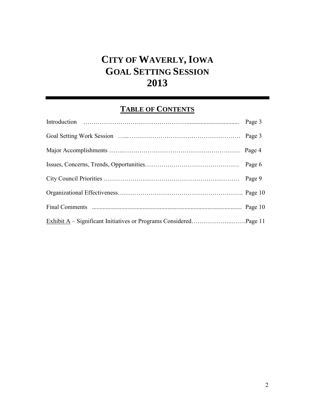# **CITY OF WAVERLY, IOWA GOAL SETTING SESSION 2013**

# **TABLE OF CONTENTS**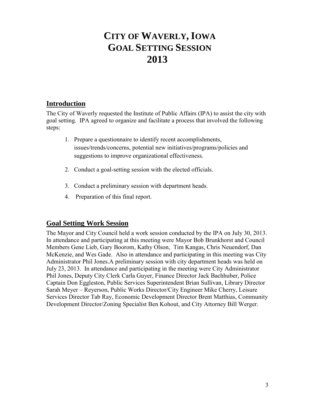# **CITY OF WAVERLY, IOWA GOAL SETTING SESSION 2013**

#### **Introduction**

The City of Waverly requested the Institute of Public Affairs (IPA) to assist the city with goal setting. IPA agreed to organize and facilitate a process that involved the following steps:

- 1. Prepare a questionnaire to identify recent accomplishments, issues/trends/concerns, potential new initiatives/programs/policies and suggestions to improve organizational effectiveness.
- 2. Conduct a goal-setting session with the elected officials.
- 3. Conduct a preliminary session with department heads.
- 4. Preparation of this final report.

#### **Goal Setting Work Session**

The Mayor and City Council held a work session conducted by the IPA on July 30, 2013. In attendance and participating at this meeting were Mayor Bob Brunkhorst and Council Members Gene Lieb, Gary Boorom, Kathy Olson, Tim Kangas, Chris Neuendorf, Dan McKenzie, and Wes Gade. Also in attendance and participating in this meeting was City Administrator Phil Jones.A preliminary session with city department heads was held on July 23, 2013. In attendance and participating in the meeting were City Administrator Phil Jones, Deputy City Clerk Carla Guyer, Finance Director Jack Bachhuber, Police Captain Don Eggleston, Public Services Superintendent Brian Sullivan, Library Director Sarah Meyer – Reyerson, Public Works Director/City Engineer Mike Cherry, Leisure Services Director Tab Ray, Economic Development Director Brent Matthias, Community Development Director/Zoning Specialist Ben Kohout, and City Attorney Bill Werger.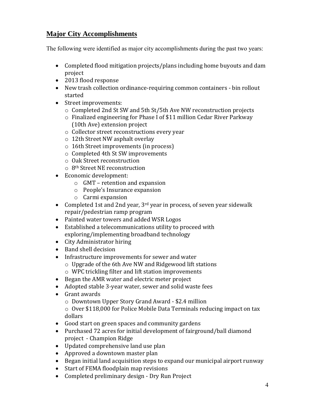#### **Major City Accomplishments**

The following were identified as major city accomplishments during the past two years:

- Completed flood mitigation projects/plans including home buyouts and dam project
- 2013 flood response
- New trash collection ordinance-requiring common containers bin rollout started
- Street improvements:
	- o Completed 2nd St SW and 5th St/5th Ave NW reconstruction projects
	- o Finalized engineering for Phase I of \$11 million Cedar River Parkway (10th Ave) extension project
	- o Collector street reconstructions every year
	- o 12th Street NW asphalt overlay
	- o 16th Street improvements (in process)
	- o Completed 4th St SW improvements
	- o Oak Street reconstruction
	- o 8th Street NE reconstruction
- Economic development:
	- o GMT retention and expansion
	- o People's Insurance expansion
	- o Carmi expansion
- Completed 1st and 2nd year,  $3^{rd}$  year in process, of seven year sidewalk repair/pedestrian ramp program
- Painted water towers and added WSR Logos
- Established a telecommunications utility to proceed with exploring/implementing broadband technology
- City Administrator hiring
- Band shell decision
- Infrastructure improvements for sewer and water
	- o Upgrade of the 6th Ave NW and Ridgewood lift stations
	- o WPC trickling filter and lift station improvements
- Began the AMR water and electric meter project
- Adopted stable 3-year water, sewer and solid waste fees
- Grant awards
	- o Downtown Upper Story Grand Award \$2.4 million

o Over \$118,000 for Police Mobile Data Terminals reducing impact on tax dollars

- Good start on green spaces and community gardens
- Purchased 72 acres for initial development of fairground/ball diamond project - Champion Ridge
- Updated comprehensive land use plan
- Approved a downtown master plan
- Began initial land acquisition steps to expand our municipal airport runway
- Start of FEMA floodplain map revisions
- Completed preliminary design Dry Run Project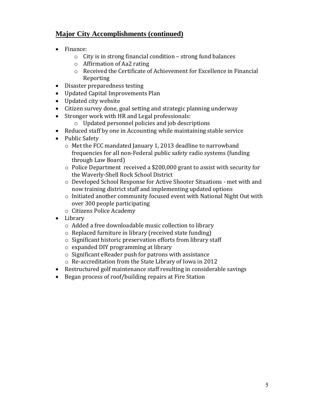#### **Major City Accomplishments (continued)**

- Finance:
	- $\circ$  City is in strong financial condition strong fund balances
	- o Affirmation of Aa2 rating
	- o Received the Certificate of Achievement for Excellence in Financial Reporting
- Disaster preparedness testing
- Updated Capital Improvements Plan
- Updated city website
- Citizen survey done, goal setting and strategic planning underway
- Stronger work with HR and Legal professionals:
	- o Updated personnel policies and job descriptions
- Reduced staff by one in Accounting while maintaining stable service
- Public Safety
	- o Met the FCC mandated January 1, 2013 deadline to narrowband frequencies for all non-Federal public safety radio systems (funding through Law Board)
	- o Police Department received a \$200,000 grant to assist with security for the Waverly-Shell Rock School District
	- o Developed School Response for Active Shooter Situations met with and now training district staff and implementing updated options
	- o Initiated another community focused event with National Night Out with over 300 people participating
	- o Citizens Police Academy
- Library
	- o Added a free downloadable music collection to library
	- o Replaced furniture in library (received state funding)
	- o Significant historic preservation efforts from library staff
	- o expanded DIY programming at library
	- o Significant eReader push for patrons with assistance
	- o Re-accreditation from the State Library of Iowa in 2012
- Restructured golf maintenance staff resulting in considerable savings
- Began process of roof/building repairs at Fire Station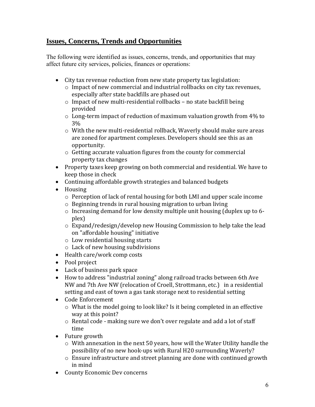#### **Issues, Concerns, Trends and Opportunities**

The following were identified as issues, concerns, trends, and opportunities that may affect future city services, policies, finances or operations:

- City tax revenue reduction from new state property tax legislation:
	- $\circ$  Impact of new commercial and industrial rollbacks on city tax revenues, especially after state backfills are phased out
	- o Impact of new multi-residential rollbacks no state backfill being provided
	- o Long-term impact of reduction of maximum valuation growth from 4% to 3%
	- $\circ$  With the new multi-residential rollback, Waverly should make sure areas are zoned for apartment complexes. Developers should see this as an opportunity.
	- o Getting accurate valuation figures from the county for commercial property tax changes
- Property taxes keep growing on both commercial and residential. We have to keep those in check
- Continuing affordable growth strategies and balanced budgets
- Housing
	- o Perception of lack of rental housing for both LMI and upper scale income
	- o Beginning trends in rural housing migration to urban living
	- o Increasing demand for low density multiple unit housing (duplex up to 6 plex)
	- o Expand/redesign/develop new Housing Commission to help take the lead on "affordable housing" initiative
	- o Low residential housing starts
	- o Lack of new housing subdivisions
- Health care/work comp costs
- Pool project
- Lack of business park space
- How to address "industrial zoning" along railroad tracks between 6th Ave NW and 7th Ave NW (relocation of Croell, Strottmann, etc.) in a residential setting and east of town a gas tank storage next to residential setting
- Code Enforcement
	- $\circ$  What is the model going to look like? Is it being completed in an effective way at this point?
	- o Rental code making sure we don't over regulate and add a lot of staff time
- Future growth
	- o With annexation in the next 50 years, how will the Water Utility handle the possibility of no new hook-ups with Rural H20 surrounding Waverly?
	- o Ensure infrastructure and street planning are done with continued growth in mind
- County Economic Dev concerns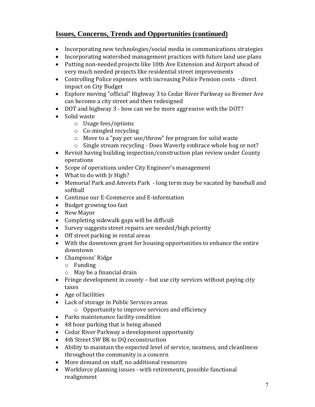#### **Issues, Concerns, Trends and Opportunities (continued)**

- Incorporating new technologies/social media in communications strategies
- Incorporating watershed management practices with future land use plans
- Putting non-needed projects like 10th Ave Extension and Airport ahead of very much needed projects like residential street improvements
- Controlling Police expenses with increasing Police Pension costs direct impact on City Budget
- Explore moving "official" Highway 3 to Cedar River Parkway so Bremer Ave can become a city street and then redesigned
- DOT and highway 3 how can we be more aggressive with the DOT?
- Solid waste
	- o Usage fees/options
	- o Co-mingled recycling
	- o Move to a "pay per use/throw" fee program for solid waste
	- o Single stream recycling Does Waverly embrace whole hog or not?
- Revisit having building inspection/construction plan review under County operations
- Scope of operations under City Engineer's management
- What to do with Jr High?
- Memorial Park and Amvets Park long term may be vacated by baseball and softball
- Continue our E-Commerce and E-information
- Budget growing too fast
- New Mayor
- Completing sidewalk gaps will be difficult
- Survey suggests street repairs are needed/high priority
- Off street parking in rental areas
- With the downtown grant for housing opportunities to enhance the entire downtown
- Champions' Ridge
	- o Funding
	- o May be a financial drain
- Fringe development in county but use city services without paying city taxes
- Age of facilities
- Lack of storage in Public Services areas
	- o Opportunity to improve services and efficiency
- Parks maintenance facility condition
- 48 hour parking that is being abused
- Cedar River Parkway a development opportunity
- 4th Street SW BK to DQ reconstruction
- Ability to maintain the expected level of service, neatness, and cleanliness throughout the community is a concern
- More demand on staff, no additional resources
- Workforce planning issues with retirements, possible functional realignment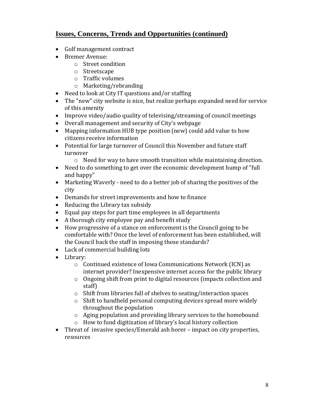#### **Issues, Concerns, Trends and Opportunities (continued)**

- Golf management contract
- Bremer Avenue:
	- o Street condition
	- o Streetscape
	- o Traffic volumes
	- o Marketing/rebranding
- Need to look at City IT questions and/or staffing
- The "new" city website is nice, but realize perhaps expanded need for service of this amenity
- Improve video/audio quality of televising/streaming of council meetings
- Overall management and security of City's webpage
- Mapping information HUB type position (new) could add value to how citizens receive information
- Potential for large turnover of Council this November and future staff turnover
	- o Need for way to have smooth transition while maintaining direction.
- Need to do something to get over the economic development hump of "full and happy"
- Marketing Waverly need to do a better job of sharing the positives of the city
- Demands for street improvements and how to finance
- Reducing the Library tax subsidy
- Equal pay steps for part time employees in all departments
- A thorough city employee pay and benefit study
- How progressive of a stance on enforcement is the Council going to be comfortable with? Once the level of enforcement has been established, will the Council back the staff in imposing those standards?
- Lack of commercial building lots
- Library:
	- o Continued existence of Iowa Communications Network (ICN) as internet provider? Inexpensive internet access for the public library
	- o Ongoing shift from print to digital resources (impacts collection and staff)
	- o Shift from libraries full of shelves to seating/interaction spaces
	- o Shift to handheld personal computing devices spread more widely throughout the population
	- o Aging population and providing library services to the homebound
	- o How to fund digitization of library's local history collection
- Threat of invasive species/Emerald ash borer impact on city properties, resources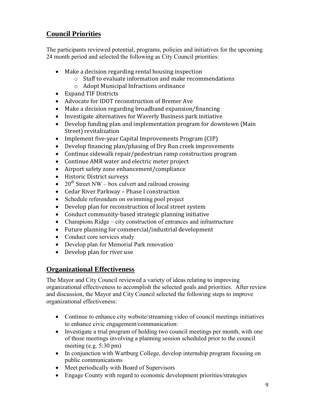#### **Council Priorities**

The participants reviewed potential, programs, policies and initiatives for the upcoming 24 month period and selected the following as City Council priorities:

- Make a decision regarding rental housing inspection
	- o Staff to evaluate information and make recommendations
	- o Adopt Municipal Infractions ordinance
- Expand TIF Districts
- Advocate for IDOT reconstruction of Bremer Ave
- Make a decision regarding broadband expansion/financing
- Investigate alternatives for Waverly Business park initiative
- Develop funding plan and implementation program for downtown (Main Street) revitalization
- Implement five-year Capital Improvements Program (CIP)
- Develop financing plan/phasing of Dry Run creek improvements
- Continue sidewalk repair/pedestrian ramp construction program
- Continue AMR water and electric meter project
- Airport safety zone enhancement/compliance
- Historic District surveys
- 20<sup>th</sup> Street NW box culvert and railroad crossing
- Cedar River Parkway Phase I construction
- Schedule referendum on swimming pool project
- Develop plan for reconstruction of local street system
- Conduct community-based strategic planning initiative
- Champions Ridge city construction of entrances and infrastructure
- Future planning for commercial/industrial development
- Conduct core services study
- Develop plan for Memorial Park renovation
- Develop plan for river use

#### **Organizational Effectiveness**

The Mayor and City Council reviewed a variety of ideas relating to improving organizational effectiveness to accomplish the selected goals and priorities. After review and discussion, the Mayor and City Council selected the following steps to improve organizational effectiveness:

- Continue to enhance city website/streaming video of council meetings initiatives to enhance civic engagement/communication:
- Investigate a trial program of holding two council meetings per month, with one of those meetings involving a planning session scheduled prior to the council meeting (e.g. 5:30 pm)
- In conjunction with Wartburg College, develop internship program focusing on public communications
- Meet periodically with Board of Supervisors
- Engage County with regard to economic development priorities/strategies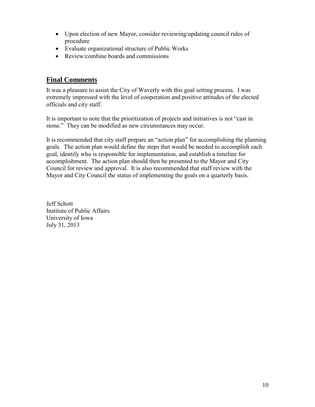- Upon election of new Mayor, consider reviewing/updating council rules of procedure
- Evaluate organizational structure of Public Works
- Review/combine boards and commissions

#### **Final Comments**

It was a pleasure to assist the City of Waverly with this goal setting process. I was extremely impressed with the level of cooperation and positive attitudes of the elected officials and city staff.

It is important to note that the prioritization of projects and initiatives is not "cast in stone." They can be modified as new circumstances may occur.

It is recommended that city staff prepare an "action plan" for accomplishing the planning goals. The action plan would define the steps that would be needed to accomplish each goal, identify who is responsible for implementation, and establish a timeline for accomplishment. The action plan should then be presented to the Mayor and City Council for review and approval. It is also recommended that staff review with the Mayor and City Council the status of implementing the goals on a quarterly basis.

Jeff Schott Institute of Public Affairs University of Iowa July 31, 2013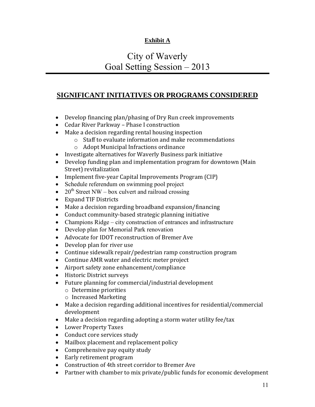#### **Exhibit A**

### City of Waverly Goal Setting Session – 2013

#### **SIGNIFICANT INITIATIVES OR PROGRAMS CONSIDERED**

- Develop financing plan/phasing of Dry Run creek improvements
- Cedar River Parkway Phase I construction
- Make a decision regarding rental housing inspection
	- o Staff to evaluate information and make recommendations
	- o Adopt Municipal Infractions ordinance
- Investigate alternatives for Waverly Business park initiative
- Develop funding plan and implementation program for downtown (Main Street) revitalization
- Implement five-year Capital Improvements Program (CIP)
- Schedule referendum on swimming pool project
- $20^{th}$  Street NW box culvert and railroad crossing
- Expand TIF Districts
- Make a decision regarding broadband expansion/financing
- Conduct community-based strategic planning initiative
- Champions Ridge city construction of entrances and infrastructure
- Develop plan for Memorial Park renovation
- Advocate for IDOT reconstruction of Bremer Ave
- Develop plan for river use
- Continue sidewalk repair/pedestrian ramp construction program
- Continue AMR water and electric meter project
- Airport safety zone enhancement/compliance
- Historic District surveys
- Future planning for commercial/industrial development
	- o Determine priorities
	- o Increased Marketing
- Make a decision regarding additional incentives for residential/commercial development
- Make a decision regarding adopting a storm water utility fee/tax
- Lower Property Taxes
- Conduct core services study
- Mailbox placement and replacement policy
- Comprehensive pay equity study
- Early retirement program
- Construction of 4th street corridor to Bremer Ave
- Partner with chamber to mix private/public funds for economic development